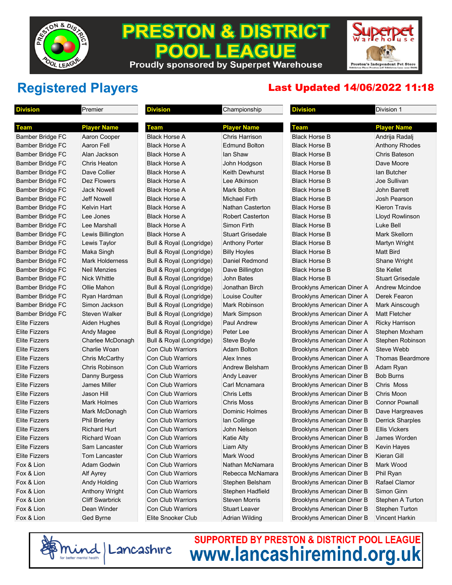

### **PRESTON & DISTRICT** PO **EAGUE** П

Proudly sponsored by Superpet Warehouse

Preston's Independent Pet Store

## **Registered Players** Last Updated 14/06/2022 11:18

| <b>Division</b>         | Premier                | <b>Division</b>          | Championship            | <b>Division</b>                   | Division 1              |
|-------------------------|------------------------|--------------------------|-------------------------|-----------------------------------|-------------------------|
|                         |                        |                          |                         |                                   |                         |
| <b>Team</b>             | <b>Player Name</b>     | <b>Team</b>              | <b>Player Name</b>      | <b>Team</b>                       | <b>Player Name</b>      |
| Bamber Bridge FC        | Aaron Cooper           | <b>Black Horse A</b>     | <b>Chris Harrison</b>   | <b>Black Horse B</b>              | Andrija Radalj          |
| <b>Bamber Bridge FC</b> | Aaron Fell             | <b>Black Horse A</b>     | <b>Edmund Bolton</b>    | <b>Black Horse B</b>              | <b>Anthony Rhodes</b>   |
| <b>Bamber Bridge FC</b> | Alan Jackson           | <b>Black Horse A</b>     | lan Shaw                | <b>Black Horse B</b>              | Chris Bateson           |
| Bamber Bridge FC        | Chris Heaton           | <b>Black Horse A</b>     | John Hodgson            | <b>Black Horse B</b>              | Dave Moore              |
| Bamber Bridge FC        | Dave Collier           | <b>Black Horse A</b>     | Keith Dewhurst          | <b>Black Horse B</b>              | lan Butcher             |
| Bamber Bridge FC        | Dez Flowers            | <b>Black Horse A</b>     | Lee Atkinson            | <b>Black Horse B</b>              | Joe Sullivan            |
| <b>Bamber Bridge FC</b> | <b>Jack Nowell</b>     | <b>Black Horse A</b>     | Mark Bolton             | <b>Black Horse B</b>              | John Barrett            |
| Bamber Bridge FC        | <b>Jeff Nowell</b>     | <b>Black Horse A</b>     | Michael Firth           | <b>Black Horse B</b>              | Josh Pearson            |
| Bamber Bridge FC        | <b>Kelvin Hart</b>     | <b>Black Horse A</b>     | <b>Nathan Casterton</b> | <b>Black Horse B</b>              | <b>Kieron Travis</b>    |
| Bamber Bridge FC        | Lee Jones              | <b>Black Horse A</b>     | <b>Robert Casterton</b> | <b>Black Horse B</b>              | Lloyd Rowlinson         |
| Bamber Bridge FC        | Lee Marshall           | <b>Black Horse A</b>     | Simon Firth             | <b>Black Horse B</b>              | <b>Luke Bell</b>        |
| Bamber Bridge FC        | Lewis Billington       | <b>Black Horse A</b>     | <b>Stuart Grisedale</b> | <b>Black Horse B</b>              | <b>Mark Skellorn</b>    |
| Bamber Bridge FC        | Lewis Taylor           | Bull & Royal (Longridge) | <b>Anthony Porter</b>   | <b>Black Horse B</b>              | <b>Martyn Wright</b>    |
| Bamber Bridge FC        | Maka Singh             | Bull & Royal (Longridge) | <b>Billy Hoyles</b>     | <b>Black Horse B</b>              | <b>Matt Bird</b>        |
| <b>Bamber Bridge FC</b> | Mark Holderness        | Bull & Royal (Longridge) | Daniel Redmond          | <b>Black Horse B</b>              | Shane Wright            |
| Bamber Bridge FC        | <b>Neil Menzies</b>    | Bull & Royal (Longridge) | Dave Billington         | <b>Black Horse B</b>              | <b>Ste Kellet</b>       |
| Bamber Bridge FC        | Nick Whittle           | Bull & Royal (Longridge) | <b>John Bates</b>       | <b>Black Horse B</b>              | <b>Stuart Grisedale</b> |
| Bamber Bridge FC        | Ollie Mahon            | Bull & Royal (Longridge) | Jonathan Birch          | Brooklyns American Diner A        | <b>Andrew Mcindoe</b>   |
| Bamber Bridge FC        | Ryan Hardman           | Bull & Royal (Longridge) | Louise Coulter          | Brooklyns American Diner A        | Derek Fearon            |
| Bamber Bridge FC        | Simon Jackson          | Bull & Royal (Longridge) | Mark Robinson           | Brooklyns American Diner A        | Mark Ainscough          |
| Bamber Bridge FC        | <b>Steven Walker</b>   | Bull & Royal (Longridge) | Mark Simpson            | Brooklyns American Diner A        | <b>Matt Fletcher</b>    |
| <b>Elite Fizzers</b>    | Aiden Hughes           | Bull & Royal (Longridge) | <b>Paul Andrew</b>      | Brooklyns American Diner A        | <b>Ricky Harrison</b>   |
| <b>Elite Fizzers</b>    | Andy Magee             | Bull & Royal (Longridge) | Peter Lee               | Brooklyns American Diner A        | Stephen Moxham          |
| <b>Elite Fizzers</b>    | Charlee McDonagh       | Bull & Royal (Longridge) | Steve Boyle             | Brooklyns American Diner A        | Stephen Robinson        |
| <b>Elite Fizzers</b>    | Charlie Woan           | <b>Con Club Warriors</b> | Adam Bolton             | Brooklyns American Diner A        | Steve Webb              |
| <b>Elite Fizzers</b>    | Chris McCarthy         | <b>Con Club Warriors</b> | Alex Innes              | <b>Brooklyns American Diner A</b> | Thomas Beardmore        |
| <b>Elite Fizzers</b>    | Chris Robinson         | <b>Con Club Warriors</b> | Andrew Belsham          | Brooklyns American Diner B        | Adam Ryan               |
| <b>Elite Fizzers</b>    | Danny Burgess          | <b>Con Club Warriors</b> | Andy Leaver             | Brooklyns American Diner B        | <b>Bob Burns</b>        |
| <b>Elite Fizzers</b>    | <b>James Miller</b>    | <b>Con Club Warriors</b> | Carl Mcnamara           | <b>Brooklyns American Diner B</b> | Chris Moss              |
| <b>Elite Fizzers</b>    | <b>Jason Hill</b>      | <b>Con Club Warriors</b> | <b>Chris Letts</b>      | Brooklyns American Diner B        | Chris Moon              |
| <b>Elite Fizzers</b>    | Mark Holmes            |                          | <b>Chris Moss</b>       |                                   | <b>Connor Pownall</b>   |
|                         |                        | <b>Con Club Warriors</b> |                         | Brooklyns American Diner B        |                         |
| <b>Elite Fizzers</b>    | Mark McDonagh          | <b>Con Club Warriors</b> | <b>Dominic Holmes</b>   | Brooklyns American Diner B        | Dave Hargreaves         |
| <b>Elite Fizzers</b>    | <b>Phil Brierley</b>   | <b>Con Club Warriors</b> | Ian Collinge            | Brooklyns American Diner B        | <b>Derrick Sharples</b> |
| <b>Elite Fizzers</b>    | <b>Richard Hurt</b>    | <b>Con Club Warriors</b> | John Nelson             | Brooklyns American Diner B        | <b>Ellis Vickers</b>    |
| <b>Elite Fizzers</b>    | <b>Richard Woan</b>    | Con Club Warriors        | <b>Katie Alty</b>       | Brooklyns American Diner B        | James Worden            |
| <b>Elite Fizzers</b>    | Sam Lancaster          | <b>Con Club Warriors</b> | Liam Alty               | Brooklyns American Diner B        | Kevin Hayes             |
| <b>Elite Fizzers</b>    | Tom Lancaster          | <b>Con Club Warriors</b> | Mark Wood               | Brooklyns American Diner B        | Kieran Gill             |
| Fox & Lion              | Adam Godwin            | <b>Con Club Warriors</b> | Nathan McNamara         | Brooklyns American Diner B        | Mark Wood               |
| Fox & Lion              | Alf Ayrey              | Con Club Warriors        | Rebecca McNamara        | Brooklyns American Diner B        | Phil Ryan               |
| Fox & Lion              | <b>Andy Holding</b>    | Con Club Warriors        | Stephen Belsham         | Brooklyns American Diner B        | Rafael Clamor           |
| Fox & Lion              | Anthony Wright         | Con Club Warriors        | Stephen Hadfield        | Brooklyns American Diner B        | Simon Ginn              |
| Fox & Lion              | <b>Cliff Swarbrick</b> | Con Club Warriors        | <b>Steven Morris</b>    | Brooklyns American Diner B        | Stephen A Turton        |
| Fox & Lion              | Dean Winder            | Con Club Warriors        | <b>Stuart Leaver</b>    | Brooklyns American Diner B        | <b>Stephen Turton</b>   |
| Fox & Lion              | Ged Byrne              | Elite Snooker Club       | <b>Adrian Wilding</b>   | <b>Brooklyns American Diner B</b> | <b>Vincent Harkin</b>   |

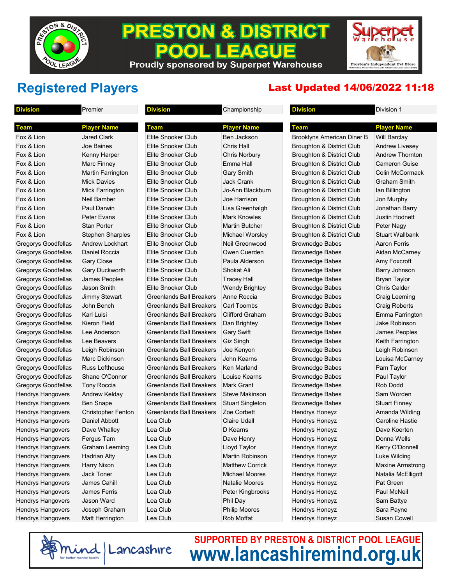

### **PRESTON & DISTRICT** PO **EAGUE** П Proudly sponsored by Superpet Warehouse

Preston's Independent Pet Store

## **Registered Players** Last Updated 14/06/2022 11:18

| <b>Division</b>          | Premier                   | <b>Division</b>                 | Championship            | <b>Division</b>                      | Division 1              |
|--------------------------|---------------------------|---------------------------------|-------------------------|--------------------------------------|-------------------------|
| Team                     | <b>Player Name</b>        | Team                            | <b>Player Name</b>      | Team                                 | <b>Player Name</b>      |
| Fox & Lion               | <b>Jared Clark</b>        | Elite Snooker Club              | Ben Jackson             | Brooklyns American Diner B           | <b>Will Barclay</b>     |
| Fox & Lion               | <b>Joe Baines</b>         | Elite Snooker Club              | Chris Hall              | Broughton & District Club            | <b>Andrew Livesey</b>   |
| Fox & Lion               | Kenny Harper              | Elite Snooker Club              | <b>Chris Norbury</b>    | Broughton & District Club            | <b>Andrew Thornton</b>  |
| Fox & Lion               | Marc Finney               | Elite Snooker Club              | Emma Hall               | Broughton & District Club            | Cameron Guise           |
| Fox & Lion               | <b>Martin Farrington</b>  | Elite Snooker Club              | <b>Gary Smith</b>       | Broughton & District Club            | Colin McCormack         |
| Fox & Lion               | <b>Mick Davies</b>        | Elite Snooker Club              | <b>Jack Crank</b>       | Broughton & District Club            | Graham Smith            |
| Fox & Lion               | <b>Mick Farrington</b>    | Elite Snooker Club              | Jo-Ann Blackburn        | Broughton & District Club            | lan Billington          |
| Fox & Lion               | Neil Bamber               | Elite Snooker Club              | Joe Harrison            | <b>Broughton &amp; District Club</b> | Jon Murphy              |
| Fox & Lion               | <b>Paul Darwin</b>        | Elite Snooker Club              | Lisa Greenhalgh         | Broughton & District Club            | Jonathan Barry          |
| Fox & Lion               | <b>Peter Evans</b>        | Elite Snooker Club              | <b>Mark Knowles</b>     | Broughton & District Club            | <b>Justin Hodnett</b>   |
| Fox & Lion               | <b>Stan Porter</b>        | Elite Snooker Club              | <b>Martin Butcher</b>   | Broughton & District Club            | Peter Nagy              |
| Fox & Lion               | <b>Stephen Sharples</b>   | Elite Snooker Club              | <b>Michael Worsley</b>  | Broughton & District Club            | Stuart Wallbank         |
| Gregorys Goodfellas      | <b>Andrew Lockhart</b>    | Elite Snooker Club              | Neil Greenwood          | <b>Brownedge Babes</b>               | <b>Aaron Ferris</b>     |
| Gregorys Goodfellas      | Daniel Roccia             | Elite Snooker Club              | Owen Cuerden            | <b>Brownedge Babes</b>               | Aidan McCarney          |
| Gregorys Goodfellas      | <b>Gary Close</b>         | Elite Snooker Club              | Paula Alderson          | <b>Brownedge Babes</b>               | Amy Foxcroft            |
| Gregorys Goodfellas      | Gary Duckworth            | Elite Snooker Club              | Shokat Ali              | <b>Brownedge Babes</b>               | Barry Johnson           |
| Gregorys Goodfellas      | James Peoples             | Elite Snooker Club              | <b>Tracey Hall</b>      | <b>Brownedge Babes</b>               | <b>Bryan Taylor</b>     |
| Gregorys Goodfellas      | Jason Smith               | Elite Snooker Club              | <b>Wendy Brightey</b>   | <b>Brownedge Babes</b>               | Chris Calder            |
| Gregorys Goodfellas      | <b>Jimmy Stewart</b>      | Greenlands Ball Breakers        | Anne Roccia             | <b>Brownedge Babes</b>               | Craig Leeming           |
| Gregorys Goodfellas      | John Bench                | Greenlands Ball Breakers        | <b>Carl Toombs</b>      | <b>Brownedge Babes</b>               | <b>Craig Roberts</b>    |
| Gregorys Goodfellas      | <b>Karl Luisi</b>         | Greenlands Ball Breakers        | <b>Clifford Graham</b>  | <b>Brownedge Babes</b>               | Emma Farrington         |
| Gregorys Goodfellas      | Kieron Field              | Greenlands Ball Breakers        | Dan Brightey            | <b>Brownedge Babes</b>               | Jake Robinson           |
| Gregorys Goodfellas      | Lee Anderson              | <b>Greenlands Ball Breakers</b> | <b>Gary Swift</b>       | <b>Brownedge Babes</b>               | James Peoples           |
| Gregorys Goodfellas      | Lee Beavers               | Greenlands Ball Breakers        | Giz Singh               | <b>Brownedge Babes</b>               | Keith Farrington        |
| Gregorys Goodfellas      | Leigh Robinson            | Greenlands Ball Breakers        | Joe Kenyon              | <b>Brownedge Babes</b>               | Leigh Robinson          |
| Gregorys Goodfellas      | Marc Dickinson            | Greenlands Ball Breakers        | John Kearns             | <b>Brownedge Babes</b>               | Louisa McCarney         |
| Gregorys Goodfellas      | <b>Russ Lofthouse</b>     | Greenlands Ball Breakers        | Ken Marland             | <b>Brownedge Babes</b>               | Pam Taylor              |
| Gregorys Goodfellas      | Shane O'Connor            | Greenlands Ball Breakers        | Louise Kearns           | <b>Brownedge Babes</b>               | Paul Taylor             |
| Gregorys Goodfellas      | Tony Roccia               | Greenlands Ball Breakers        | <b>Mark Grant</b>       | <b>Brownedge Babes</b>               | Rob Dodd                |
| <b>Hendrys Hangovers</b> | <b>Andrew Kelday</b>      | Greenlands Ball Breakers        | Steve Makinson          | <b>Brownedge Babes</b>               | Sam Worden              |
| <b>Hendrys Hangovers</b> | <b>Ben Snape</b>          | Greenlands Ball Breakers        | <b>Stuart Singleton</b> | <b>Brownedge Babes</b>               | <b>Stuart Finney</b>    |
| <b>Hendrys Hangovers</b> | <b>Christopher Fenton</b> | Greenlands Ball Breakers        | Zoe Corbett             | <b>Hendrys Honeyz</b>                | Amanda Wilding          |
| <b>Hendrys Hangovers</b> | Daniel Abbott             | Lea Club                        | <b>Claire Udall</b>     | Hendrys Honeyz                       | Caroline Hastie         |
| <b>Hendrys Hangovers</b> | Dave Whalley              | Lea Club                        | D Kearns                | <b>Hendrys Honeyz</b>                | Dave Koerten            |
| <b>Hendrys Hangovers</b> | Fergus Tam                | Lea Club                        | Dave Henry              | Hendrys Honeyz                       | Donna Wells             |
| <b>Hendrys Hangovers</b> | <b>Graham Leeming</b>     | Lea Club                        | Lloyd Taylor            | Hendrys Honeyz                       | Kerry O'Donnell         |
| <b>Hendrys Hangovers</b> | <b>Hadrian Alty</b>       | Lea Club                        | Martin Robinson         | Hendrys Honeyz                       | Luke Wilding            |
| <b>Hendrys Hangovers</b> | <b>Harry Nixon</b>        | Lea Club                        | <b>Matthew Corrick</b>  | Hendrys Honeyz                       | <b>Maxine Armstrong</b> |
| <b>Hendrys Hangovers</b> | Jack Toner                | Lea Club                        | Michael Moores          | Hendrys Honeyz                       | Natalia McElligott      |
| <b>Hendrys Hangovers</b> | James Cahill              | Lea Club                        | Natalie Moores          | Hendrys Honeyz                       | Pat Green               |
| <b>Hendrys Hangovers</b> | <b>James Ferris</b>       | Lea Club                        | Peter Kingbrooks        | Hendrys Honeyz                       | Paul McNeil             |
| <b>Hendrys Hangovers</b> | Jason Ward                | Lea Club                        | Phil Day                | Hendrys Honeyz                       | Sam Battye              |
| <b>Hendrys Hangovers</b> | Joseph Graham             | Lea Club                        | <b>Philip Moores</b>    | Hendrys Honeyz                       | Sara Payne              |
| <b>Hendrys Hangovers</b> | Matt Herrington           | Lea Club                        | Rob Moffat              | Hendrys Honeyz                       | Susan Cowell            |

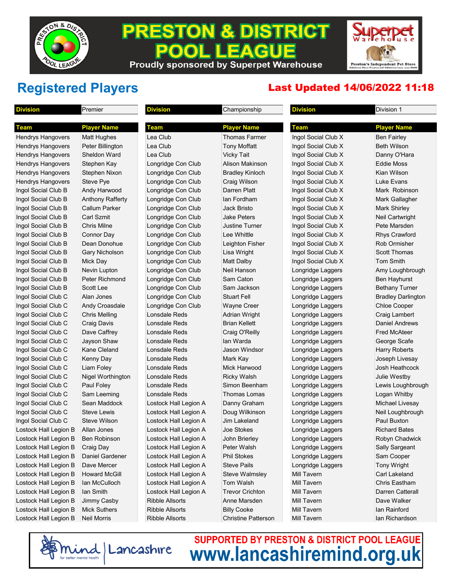

### **PRESTON & DISTRICT** LEACUE **POOL** Proudly sponsored by Superpet Warehouse

Preston's Independent Pet Store<br>Ribbleton Place Preston (off Ribbleton Lane near B&M

## **Registered Players** Last Updated 14/06/2022 11:18

| <b>Division</b>       | Premier                  | <b>Division</b>        | Championship               | <b>Division</b>     | Division 1                |
|-----------------------|--------------------------|------------------------|----------------------------|---------------------|---------------------------|
| Team                  | <b>Player Name</b>       | Team                   | <b>Player Name</b>         | <b>Team</b>         | <b>Player Name</b>        |
| Hendrys Hangovers     | <b>Matt Hughes</b>       | Lea Club               | Thomas Farmer              | Ingol Social Club X | <b>Ben Fairley</b>        |
| Hendrys Hangovers     | Peter Billington         | Lea Club               | <b>Tony Moffatt</b>        | Ingol Social Club X | Beth Wilson               |
| Hendrys Hangovers     | <b>Sheldon Ward</b>      | Lea Club               | <b>Vicky Tait</b>          | Ingol Social Club X | Danny O'Hara              |
| Hendrys Hangovers     | Stephen Kay              | Longridge Con Club     | Alison Makinson            | Ingol Social Club X | Eddie Moss                |
| Hendrys Hangovers     | Stephen Nixon            | Longridge Con Club     | <b>Bradley Kinloch</b>     | Ingol Social Club X | Kian Wilson               |
| Hendrys Hangovers     | Steve Pye                | Longridge Con Club     | Craig Wilson               | Ingol Social Club X | Luke Evans                |
| Ingol Social Club B   | Andy Harwood             | Longridge Con Club     | Darren Platt               | Ingol Social Club X | Mark Robinson             |
| Ingol Social Club B   | Anthony Rafferty         | Longridge Con Club     | lan Fordham                | Ingol Social Club X | Mark Gallagher            |
| Ingol Social Club B   | <b>Callum Parker</b>     | Longridge Con Club     | Jack Bristo                | Ingol Social Club X | <b>Mark Shirley</b>       |
| Ingol Social Club B   | <b>Carl Szmit</b>        | Longridge Con Club     | Jake Peters                | Ingol Social Club X | Neil Cartwright           |
| Ingol Social Club B   | <b>Chris Milne</b>       | Longridge Con Club     | Justine Turner             | Ingol Social Club X | Pete Marsden              |
| Ingol Social Club B   | Connor Day               | Longridge Con Club     | Lee Whittle                | Ingol Social Club X | <b>Rhys Crawford</b>      |
| Ingol Social Club B   | Dean Donohue             | Longridge Con Club     | Leighton Fisher            | Ingol Social Club X | Rob Ormisher              |
| Ingol Social Club B   | <b>Gary Nicholson</b>    | Longridge Con Club     | Lisa Wright                | Ingol Social Club X | <b>Scott Thomas</b>       |
| Ingol Social Club B   | Mick Day                 | Longridge Con Club     | Matt Dalby                 | Ingol Social Club X | <b>Tom Smith</b>          |
| Ingol Social Club B   | Nevin Lupton             | Longridge Con Club     | Neil Hanson                | Longridge Laggers   | Amy Loughbrough           |
| Ingol Social Club B   | <b>Peter Richmond</b>    | Longridge Con Club     | Sam Caton                  | Longridge Laggers   | Ben Hayhurst              |
| Ingol Social Club B   | Scott Lee                | Longridge Con Club     | Sam Jackson                | Longridge Laggers   | <b>Bethany Turner</b>     |
| Ingol Social Club C   | Alan Jones               | Longridge Con Club     | <b>Stuart Fell</b>         | Longridge Laggers   | <b>Bradley Darlington</b> |
| Ingol Social Club C   | <b>Andy Croasdale</b>    | Longridge Con Club     | <b>Wayne Creer</b>         | Longridge Laggers   | <b>Chloe Cooper</b>       |
| Ingol Social Club C   | Chris Melling            | Lonsdale Reds          | Adrian Wright              | Longridge Laggers   | Craig Lambert             |
| Ingol Social Club C   | <b>Craig Davis</b>       | Lonsdale Reds          | <b>Brian Kellett</b>       | Longridge Laggers   | <b>Daniel Andrews</b>     |
| Ingol Social Club C   | Dave Caffrey             | Lonsdale Reds          | Craig O'Reilly             | Longridge Laggers   | <b>Fred McAteer</b>       |
| Ingol Social Club C   | Jayson Shaw              | Lonsdale Reds          | lan Warda                  | Longridge Laggers   | George Scafe              |
| Ingol Social Club C   | Kane Cleland             | Lonsdale Reds          | <b>Jason Windsor</b>       | Longridge Laggers   | Harry Roberts             |
| Ingol Social Club C   | Kenny Day                | Lonsdale Reds          | Mark Kay                   | Longridge Laggers   | Joseph Livesay            |
| Ingol Social Club C   | Liam Foley               | Lonsdale Reds          | Mick Harwood               | Longridge Laggers   | Josh Heathcock            |
| Ingol Social Club C   | <b>Nigel Worthington</b> | Lonsdale Reds          | <b>Ricky Walsh</b>         | Longridge Laggers   | Julie Westby              |
| Ingol Social Club C   | Paul Foley               | Lonsdale Reds          | Simon Beenham              | Longridge Laggers   | Lewis Loughbrough         |
| Ingol Social Club C   | Sam Leeming              | Lonsdale Reds          | Thomas Lomas               | Longridge Laggers   | Logan Whitby              |
| Ingol Social Club C   | Sean Maddock             | Lostock Hall Legion A  | Danny Graham               | Longridge Laggers   | Michael Livesay           |
| Ingol Social Club C   | <b>Steve Lewis</b>       | Lostock Hall Legion A  | Doug Wilkinson             | Longridge Laggers   | Neil Loughbrough          |
| Ingol Social Club C   | Steve Wilson             | Lostock Hall Legion A  | Jim Lakeland               | Longridge Laggers   | Paul Buxton               |
| Lostock Hall Legion B | Allan Jones              | Lostock Hall Legion A  | Joe Stokes                 | Longridge Laggers   | <b>Richard Bates</b>      |
| Lostock Hall Legion B | Ben Robinson             | Lostock Hall Legion A  | John Brierley              | Longridge Laggers   | Robyn Chadwick            |
| Lostock Hall Legion B | Craig Day                | Lostock Hall Legion A  | Peter Walsh                | Longridge Laggers   | Sally Sargeant            |
| Lostock Hall Legion B | <b>Daniel Gardener</b>   | Lostock Hall Legion A  | <b>Phil Stokes</b>         | Longridge Laggers   | Sam Cooper                |
| Lostock Hall Legion B | Dave Mercer              | Lostock Hall Legion A  | <b>Steve Pails</b>         | Longridge Laggers   | <b>Tony Wright</b>        |
| Lostock Hall Legion B | <b>Howard McGill</b>     | Lostock Hall Legion A  | <b>Steve Walmsley</b>      | Mill Tavern         | Carl Lakeland             |
| Lostock Hall Legion B | Ian McCulloch            | Lostock Hall Legion A  | Tom Walsh                  | <b>Mill Tavern</b>  | Chris Eastham             |
| Lostock Hall Legion B | lan Smith                | Lostock Hall Legion A  | <b>Trevor Crichton</b>     | Mill Tavern         | Darren Catterall          |
| Lostock Hall Legion B | Jimmy Casby              | <b>Ribble Allsorts</b> | Anne Marsden               | Mill Tavern         | Dave Walker               |
| Lostock Hall Legion B | <b>Mick Suthers</b>      | <b>Ribble Allsorts</b> | <b>Billy Cooke</b>         | Mill Tavern         | lan Rainford              |
| Lostock Hall Legion B | Neil Morris              | <b>Ribble Allsorts</b> | <b>Christine Patterson</b> | <b>Mill Tavern</b>  | lan Richardson            |

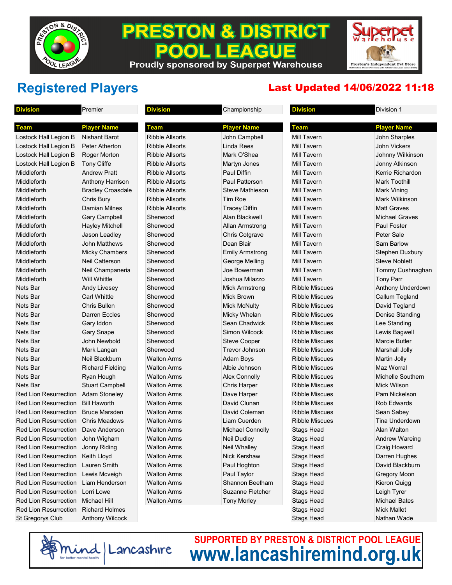

### **PRESTON & DISTRICT EAGUE** P **Proudly sponsored by Superpet Warehouse**

Preston's Independent Pet Store<br>Ribbleton Place Preston (off Ribbleton Lane near B&M)

## **Registered Players** Last Updated 14/06/2022 11:18

| <b>Division</b>              | Premier                  | <b>Division</b>        | Championship            | <b>Division</b>       | Division 1               |
|------------------------------|--------------------------|------------------------|-------------------------|-----------------------|--------------------------|
|                              |                          |                        |                         |                       |                          |
| Team                         | <b>Player Name</b>       | Team                   | <b>Player Name</b>      | <b>Team</b>           | <b>Player Name</b>       |
| Lostock Hall Legion B        | Nishant Barot            | <b>Ribble Allsorts</b> | John Campbell           | <b>Mill Tavern</b>    | John Sharples            |
| Lostock Hall Legion B        | Peter Atherton           | <b>Ribble Allsorts</b> | <b>Linda Rees</b>       | <b>Mill Tavern</b>    | John Vickers             |
| Lostock Hall Legion B        | Roger Morton             | <b>Ribble Allsorts</b> | Mark O'Shea             | Mill Tavern           | Johnny Wilkinson         |
| Lostock Hall Legion B        | <b>Tony Cliffe</b>       | <b>Ribble Allsorts</b> | Martyn Jones            | Mill Tavern           | Jonny Atkinson           |
| Middleforth                  | <b>Andrew Pratt</b>      | <b>Ribble Allsorts</b> | Paul Diffin             | Mill Tavern           | Kerrie Richardon         |
| Middleforth                  | Anthony Harrison         | <b>Ribble Allsorts</b> | <b>Paul Patterson</b>   | Mill Tavern           | Mark Toothill            |
| Middleforth                  | <b>Bradley Croasdale</b> | <b>Ribble Allsorts</b> | Steve Mathieson         | Mill Tavern           | Mark Vining              |
| Middleforth                  | Chris Bury               | <b>Ribble Allsorts</b> | <b>Tim Roe</b>          | Mill Tavern           | Mark Wilkinson           |
| Middleforth                  | Damian Milnes            | <b>Ribble Allsorts</b> | <b>Tracey Diffin</b>    | Mill Tavern           | <b>Matt Graves</b>       |
| Middleforth                  | <b>Gary Campbell</b>     | Sherwood               | Alan Blackwell          | <b>Mill Tavern</b>    | <b>Michael Graves</b>    |
| Middleforth                  | <b>Hayley Mitchell</b>   | Sherwood               | <b>Allan Armstrong</b>  | Mill Tavern           | <b>Paul Foster</b>       |
| Middleforth                  | Jason Leadley            | Sherwood               | <b>Chris Cotgrave</b>   | Mill Tavern           | Peter Sale               |
| Middleforth                  | <b>John Matthews</b>     | Sherwood               | Dean Blair              | <b>Mill Tavern</b>    | Sam Barlow               |
| Middleforth                  | <b>Micky Chambers</b>    | Sherwood               | <b>Emily Armstrong</b>  | Mill Tavern           | <b>Stephen Duxbury</b>   |
| Middleforth                  | <b>Neil Catterson</b>    | Sherwood               | George Melling          | Mill Tavern           | <b>Steve Noblett</b>     |
| Middleforth                  | Neil Champaneria         | Sherwood               | Joe Bowerman            | Mill Tavern           | Tommy Cushnaghan         |
| Middleforth                  | Will Whittle             | Sherwood               | Joshua Milazzo          | Mill Tavern           | <b>Tony Parr</b>         |
| Nets Bar                     | <b>Andy Livesey</b>      | Sherwood               | <b>Mick Armstrong</b>   | <b>Ribble Miscues</b> | Anthony Underdown        |
| Nets Bar                     | <b>Carl Whittle</b>      | Sherwood               | <b>Mick Brown</b>       | <b>Ribble Miscues</b> | Callum Tegland           |
| Nets Bar                     | Chris Bullen             | Sherwood               | <b>Mick McNulty</b>     | <b>Ribble Miscues</b> | David Tegland            |
| Nets Bar                     | <b>Darren Eccles</b>     | Sherwood               | <b>Micky Whelan</b>     | <b>Ribble Miscues</b> | Denise Standing          |
| Nets Bar                     | Gary Iddon               | Sherwood               | Sean Chadwick           | <b>Ribble Miscues</b> | Lee Standing             |
| Nets Bar                     | <b>Gary Snape</b>        | Sherwood               | <b>Simon Wilcock</b>    | <b>Ribble Miscues</b> | Lewis Bagwell            |
| Nets Bar                     | John Newbold             | Sherwood               | <b>Steve Cooper</b>     | <b>Ribble Miscues</b> | <b>Marcie Butler</b>     |
| Nets Bar                     | Mark Langan              | Sherwood               | Trevor Johnson          | <b>Ribble Miscues</b> | Marshall Jolly           |
| Nets Bar                     | Neil Blackburn           | Walton Arms            | Adam Boys               | <b>Ribble Miscues</b> | Martin Jolly             |
| Nets Bar                     | <b>Richard Fielding</b>  | <b>Walton Arms</b>     | Albie Johnson           | <b>Ribble Miscues</b> | Maz Worral               |
| Nets Bar                     | Ryan Hough               | <b>Walton Arms</b>     | <b>Alex Connolly</b>    | <b>Ribble Miscues</b> | <b>Michelle Southern</b> |
| Nets Bar                     | <b>Stuart Campbell</b>   | <b>Walton Arms</b>     | <b>Chris Harper</b>     | <b>Ribble Miscues</b> | Mick Wilson              |
| Red Lion Resurrection        | <b>Adam Stoneley</b>     | <b>Walton Arms</b>     | Dave Harper             | <b>Ribble Miscues</b> | Pam Nickelson            |
| <b>Red Lion Resurrection</b> | <b>Bill Haworth</b>      | <b>Walton Arms</b>     | David Clunan            | <b>Ribble Miscues</b> | <b>Rob Edwards</b>       |
| <b>Red Lion Resurrection</b> | <b>Bruce Marsden</b>     | <b>Walton Arms</b>     | David Coleman           | <b>Ribble Miscues</b> | Sean Sabey               |
| <b>Red Lion Resurrection</b> | <b>Chris Meadows</b>     | <b>Walton Arms</b>     | Liam Cuerden            | <b>Ribble Miscues</b> | Tina Underdown           |
| Red Lion Resurrection        | Dave Anderson            | <b>Walton Arms</b>     | <b>Michael Connolly</b> | <b>Stags Head</b>     | Alan Walton              |
| Red Lion Resurrection        | John Wigham              | <b>Walton Arms</b>     | Neil Dudley             | <b>Stags Head</b>     | Andrew Wareing           |
| Red Lion Resurrection        | Jonny Riding             | <b>Walton Arms</b>     | Neil Whalley            | <b>Stags Head</b>     | Craig Howard             |
| <b>Red Lion Resurrection</b> | Keith Lloyd              | Walton Arms            | Nick Kershaw            | <b>Stags Head</b>     | Darren Hughes            |
| <b>Red Lion Resurrection</b> | Lauren Smith             | Walton Arms            | Paul Hoghton            | Stags Head            | David Blackburn          |
| Red Lion Resurrection        | Lewis Mcveigh            | <b>Walton Arms</b>     | Paul Taylor             | <b>Stags Head</b>     | Gregory Moon             |
| <b>Red Lion Resurrection</b> | Liam Henderson           | <b>Walton Arms</b>     | Shannon Beetham         | <b>Stags Head</b>     | Kieron Quigg             |
| <b>Red Lion Resurrection</b> | Lorri Lowe               | <b>Walton Arms</b>     | Suzanne Fletcher        | <b>Stags Head</b>     | Leigh Tyrer              |
| <b>Red Lion Resurrection</b> | <b>Michael Hill</b>      | Walton Arms            | <b>Tony Morley</b>      | <b>Stags Head</b>     | <b>Michael Bates</b>     |
| <b>Red Lion Resurrection</b> | <b>Richard Holmes</b>    |                        |                         | <b>Stags Head</b>     | <b>Mick Mallet</b>       |
| St Gregorys Club             | <b>Anthony Wilcock</b>   |                        |                         | <b>Stags Head</b>     | Nathan Wade              |